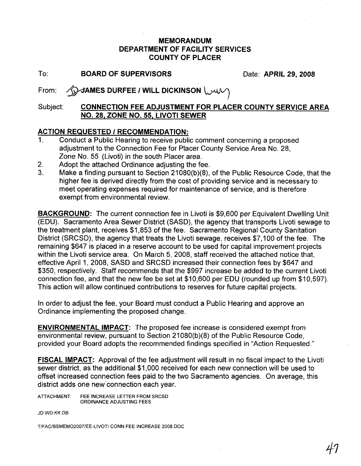### MEMORANDUM DEPARTMENT OF FACILITY SERVICES COUNTY OF PLACER

To: BOARD OF SUPERVISORS Date: APRIL 29, 2008

# From: **AND JAMES DURFEE / WILL DICKINSON**

## Subject: CONNECTION FEE ADJUSTMENT FOR PLACER COUNTY SERVICE AREA NO. 28, ZONE NO. 55, LIVOTI SEWER

#### ACTION REQUESTED / RECOMMENDATION:

- 1. Conduct a Public Hearing to receive public comment concerning a proposed adjustment to the Connection Fee for Placer County Service Area No. 28, Zone No. 55 (Livoti) in the south Placer area.
- 2. Adopt the attached Ordinance adjusting the fee.
- 3. Make a finding pursuant to Section 21 080(b)(8), of the Public Resource Code, that the higher fee is derived directly from the cost of providing service and is necessary to meet operating expenses required for maintenance of service, and is therefore exempt from environmental review.

BACKGROUND: The current connection fee in Livoti is \$9,600 per Equivalent Dwelling Unit (EDU). Sacramento Area Sewer District (SASD), the agency that transports Livoti sewage to the treatment plant, receives \$1,853 of the fee. Sacramento Regional County Sanitation District (SRCSD), the agency that treats the Livoti sewage, receives \$7,100 of the fee. The remaining \$647 is placed in a reserve account to be used for capital improvement projects within the Livoti service area. On March 5, 2008, staff received the attached notice that, effective April 1,2008, SASD and SRCSD increased their connection fees by \$647 and \$350, respectively. Staff recommends that the \$997 increase be added to the current Livoti connection fee, and that the new fee be set at \$10,600 per EDU (rounded up from \$10,597). This action will allow continued contributions to reserves for future capital projects.

In order to adjust the fee, your Board must conduct a Public Hearing and approve an Ordinance implementing the proposed change.

ENVIRONMENTAL IMPACT: The proposed fee increase is considered exempt from environmental review, pursuant to Section 21 080(b)(8) of the Public Resource Code, provided your Board adopts the recommended findings specified in "Action Requested."

FISCAL IMPACT: Approval of the fee adjustment will result in no fiscal impact to the Livoti sewer district, as the additional \$1,000 received for each new connection will be used to offset increased connection fees paid to the two Sacramento agencies. On average, this district adds one new'connection each year.

ATTACHMENT: FEE INCREASE LETTER FROM SRCSD ORDINANCE ADJUSTING FEES

JDWD:KK:DB

T/FAC/BSMEMO2007/EE-LIVOTI CONN FEE INCREASE 2008 DOC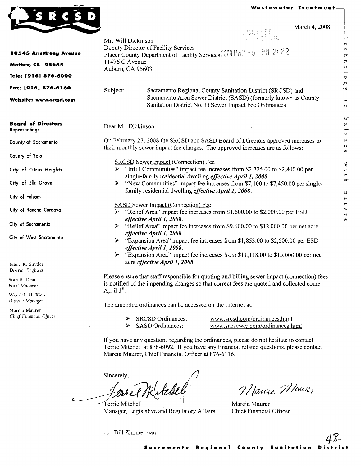Technolo

 $\alpha$  $\prec$ 

> Ļ.  $\Xi$

 $\sigma$  $\omega$  $\overline{a}$  $\begin{bmatrix} a & n & c \end{bmatrix}$  $\circ$ 

with

nature



|                                            | (0.000, 7.000)<br>RECEIVED                                                                                                                                                                                                               |
|--------------------------------------------|------------------------------------------------------------------------------------------------------------------------------------------------------------------------------------------------------------------------------------------|
|                                            | M SERVICE<br>Mr. Will Dickinson<br>Deputy Director of Facility Services                                                                                                                                                                  |
| <b>10545 Armstrong Avenue</b>              | Placer County Department of Facility Services 2008 MAR - 5 PM 2: 22                                                                                                                                                                      |
| Mather, CA 95655                           | 11476 C Avenue<br>Auburn, CA 95603                                                                                                                                                                                                       |
| Tele: [916] 876-6000                       |                                                                                                                                                                                                                                          |
| Fax: [916] 876-6160                        | Subject:<br>Sacramento Regional County Sanitation District (SRCSD) and                                                                                                                                                                   |
| Website: www.srcsd.com                     | Sacramento Area Sewer District (SASD) (formerly known as County<br>Sanitation District No. 1) Sewer Impact Fee Ordinances                                                                                                                |
| <b>Board of Directors</b><br>Representing: | Dear Mr. Dickinson:                                                                                                                                                                                                                      |
| County of Sacramento                       | On February 27, 2008 the SRCSD and SASD Board of Directors approved increases to<br>their monthly sewer impact fee charges. The approved increases are as follows:                                                                       |
| County of Yolo                             | <b>SRCSD Sewer Impact (Connection) Fee</b>                                                                                                                                                                                               |
| City of Citrus Heights                     | "Infill Communities" impact fee increases from \$2,725.00 to \$2,800.00 per<br>➤<br>single-family residential dwelling <i>effective April 1, 2008</i> .                                                                                  |
| City of Elk Grove                          | > "New Communities" impact fee increases from \$7,100 to \$7,450.00 per single-<br>family residential dwelling <i>effective April 1, 2008</i> .                                                                                          |
| City of Folsom                             |                                                                                                                                                                                                                                          |
| City of Rancho Cordova                     | <b>SASD Sewer Impact (Connection) Fee</b><br>"Relief Area" impact fee increases from \$1,600.00 to \$2,000.00 per ESD                                                                                                                    |
| City of Sacramento                         | effective April 1, 2008.<br>"Relief Area" impact fee increases from \$9,600.00 to \$12,000.00 per net acre<br>≻                                                                                                                          |
| City of West Sacramento                    | effective April 1, 2008.<br>"Expansion Area" impact fee increases from \$1,853.00 to \$2,500.00 per ESD<br>➤<br>effective April 1, 2008.<br>"Expansion Area" impact fee increases from \$11,118.00 to \$15,000.00 per net<br>⋗           |
| Mary K. Snyder<br>District Engineer        | acre effective April 1, 2008.                                                                                                                                                                                                            |
| Stan R. Dean<br>Plant Manager              | Please ensure that staff responsible for quoting and billing sewer impact (connection) fees<br>is notified of the impending changes so that correct fees are quoted and collected come                                                   |
| Wendell H. Kido<br>District Manager        | April 1 <sup>st</sup> .                                                                                                                                                                                                                  |
| Marcia Maurer                              | The amended ordinances can be accessed on the Internet at:                                                                                                                                                                               |
| Chief Financial Officer                    | <b>SRCSD</b> Ordinances:<br>www.srcsd.com/ordinances.html<br><b>SASD Ordinances:</b><br>www.sacsewer.com/ordinances.html<br>⋗                                                                                                            |
|                                            | If you have any questions regarding the ordinances, please do not hesitate to contact<br>Terrie Mitchell at 876-6092. If you have any financial related questions, please contact<br>Marcia Maurer, Chief Financial Officer at 876-6116. |
|                                            | Sincerely,                                                                                                                                                                                                                               |
|                                            | Ketchel<br>Marcia Maire,                                                                                                                                                                                                                 |
|                                            | Marcia Maurer<br>Ferrie Mitchell                                                                                                                                                                                                         |
|                                            | Manager, Legislative and Regulatory Affairs<br>Chief Financial Officer                                                                                                                                                                   |

cc: Bill Zimmerman

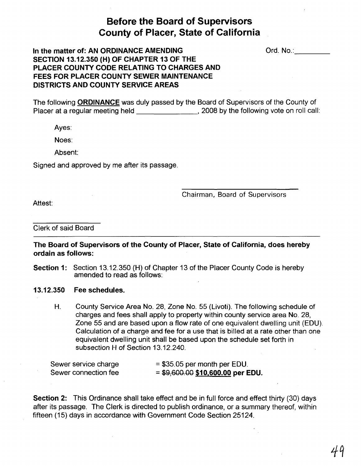# Before the Board of Supervisors County of Placer, State of California

Ord. No.: **with a set of the set of the set of the set of the set of the set of the set of the set of the set of the set of the set of the set of the set of the set of the set of the set of the set of the set of the set of** 

# In the matter of: AN ORDINANCE AMENDING SECTION 13.12.350 (H) OF CHAPTER 13 OF THE PLACER COUNTY CODE RELATING TO CHARGES AND FEES FOR PLACER COUNTY SEWER MAINTENANCE DISTRICTS AND COUNTY SERVICE AREAS

The following ORDINANCE was duly passed by the Board of Supervisors of the County of Placer at a regular meeting held \_\_\_\_\_\_\_\_\_\_\_\_\_\_\_\_\_\_\_\_\_, 2008 by the following vote on roll call:

Ayes:

Noes:

Absent:

Signed and approved by me after its passage.

Chairman, Board of Supervisors

Attest:

Clerk of said Board

The Board of Supervisors of the County of Placer, State of California, does hereby ordain as follows:

- Section 1: Section 13.12.350 (H) of Chapter 13 of the Placer County Code is hereby amended to read as follows:
- 13.12.350 Fee schedules.
	- H. County Service Area No. 28, Zone No. 55 (Livoti). The following schedule of charges and fees shall apply to property within county service area No. 28, Zone 55 and are based upon a flow rate of one equivalent dwelling unit (EDU). Calculation of a charge and fee for a use that is billed at a rate other than one equivalent dwelling unit shall be based upon the schedule set forth in subsection H of Section 13.12.240.

| Sewer service charge | $=$ \$35.05 per month per EDU.    |
|----------------------|-----------------------------------|
| Sewer connection fee | $= $9,600.00 $10,600.00$ per EDU. |

Section 2: This Ordinance shall take effect and be in full force and effect thirty (30) days after its passage. The Clerk is directed to publish ordinance, or a summary thereof, within fifteen (15) days in accordance with Government Code Section 25124.